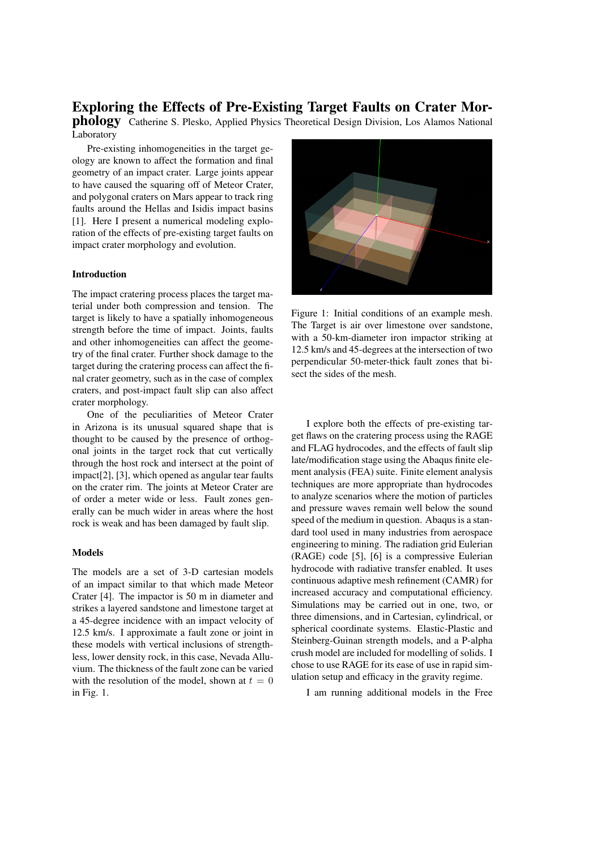# Exploring the Effects of Pre-Existing Target Faults on Crater Mor-

phology Catherine S. Plesko, Applied Physics Theoretical Design Division, Los Alamos National Laboratory

Pre-existing inhomogeneities in the target geology are known to affect the formation and final geometry of an impact crater. Large joints appear to have caused the squaring off of Meteor Crater, and polygonal craters on Mars appear to track ring faults around the Hellas and Isidis impact basins [1]. Here I present a numerical modeling exploration of the effects of pre-existing target faults on impact crater morphology and evolution.

## Introduction

The impact cratering process places the target material under both compression and tension. The target is likely to have a spatially inhomogeneous strength before the time of impact. Joints, faults and other inhomogeneities can affect the geometry of the final crater. Further shock damage to the target during the cratering process can affect the final crater geometry, such as in the case of complex craters, and post-impact fault slip can also affect crater morphology.

One of the peculiarities of Meteor Crater in Arizona is its unusual squared shape that is thought to be caused by the presence of orthogonal joints in the target rock that cut vertically through the host rock and intersect at the point of impact[2], [3], which opened as angular tear faults on the crater rim. The joints at Meteor Crater are of order a meter wide or less. Fault zones generally can be much wider in areas where the host rock is weak and has been damaged by fault slip.

#### Models

The models are a set of 3-D cartesian models of an impact similar to that which made Meteor Crater [4]. The impactor is 50 m in diameter and strikes a layered sandstone and limestone target at a 45-degree incidence with an impact velocity of 12.5 km/s. I approximate a fault zone or joint in these models with vertical inclusions of strengthless, lower density rock, in this case, Nevada Alluvium. The thickness of the fault zone can be varied with the resolution of the model, shown at  $t = 0$ in Fig. 1.



Figure 1: Initial conditions of an example mesh. The Target is air over limestone over sandstone, with a 50-km-diameter iron impactor striking at 12.5 km/s and 45-degrees at the intersection of two perpendicular 50-meter-thick fault zones that bisect the sides of the mesh.

I explore both the effects of pre-existing target flaws on the cratering process using the RAGE and FLAG hydrocodes, and the effects of fault slip late/modification stage using the Abaqus finite element analysis (FEA) suite. Finite element analysis techniques are more appropriate than hydrocodes to analyze scenarios where the motion of particles and pressure waves remain well below the sound speed of the medium in question. Abaqus is a standard tool used in many industries from aerospace engineering to mining. The radiation grid Eulerian (RAGE) code [5], [6] is a compressive Eulerian hydrocode with radiative transfer enabled. It uses continuous adaptive mesh refinement (CAMR) for increased accuracy and computational efficiency. Simulations may be carried out in one, two, or three dimensions, and in Cartesian, cylindrical, or spherical coordinate systems. Elastic-Plastic and Steinberg-Guinan strength models, and a P-alpha crush model are included for modelling of solids. I chose to use RAGE for its ease of use in rapid simulation setup and efficacy in the gravity regime.

I am running additional models in the Free